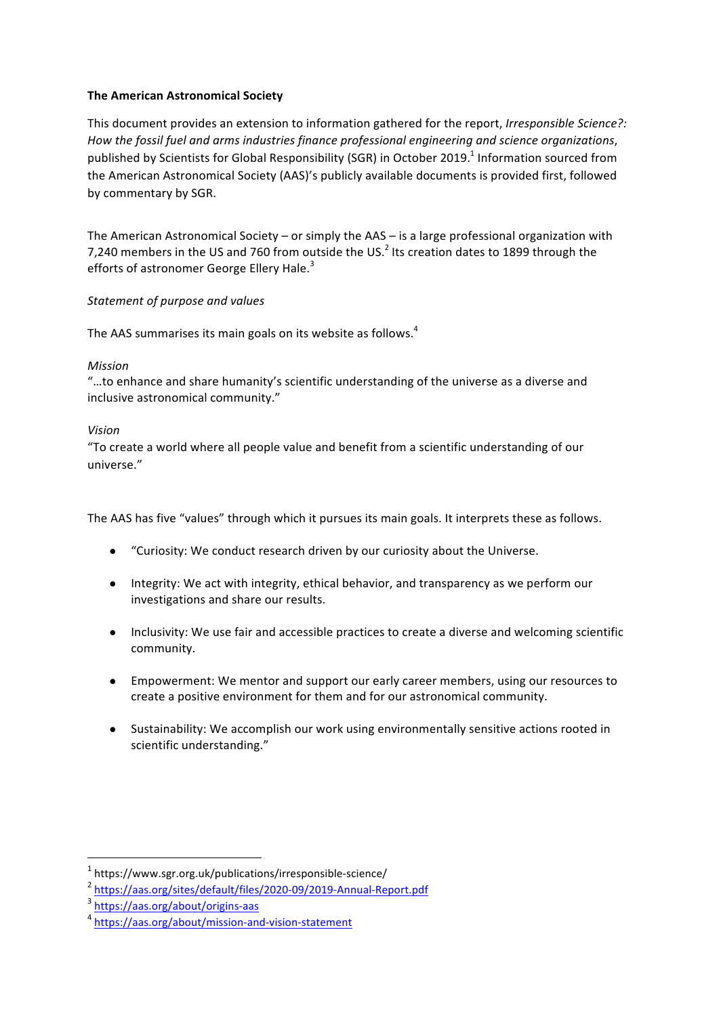# **The American Astronomical Society**

This document provides an extension to information gathered for the report, *Irresponsible Science?*: How the fossil fuel and arms industries finance professional engineering and science organizations, published by Scientists for Global Responsibility (SGR) in October 2019.<sup>1</sup> Information sourced from the American Astronomical Society (AAS)'s publicly available documents is provided first, followed by commentary by SGR.

The American Astronomical Society – or simply the AAS – is a large professional organization with 7,240 members in the US and 760 from outside the US.<sup>2</sup> Its creation dates to 1899 through the efforts of astronomer George Ellery Hale.<sup>3</sup>

# *Statement of purpose and values*

The AAS summarises its main goals on its website as follows.<sup>4</sup>

# *Mission*

"...to enhance and share humanity's scientific understanding of the universe as a diverse and inclusive astronomical community."

# *Vision*

"To create a world where all people value and benefit from a scientific understanding of our universe."

The AAS has five "values" through which it pursues its main goals. It interprets these as follows.

- "Curiosity: We conduct research driven by our curiosity about the Universe.
- Integrity: We act with integrity, ethical behavior, and transparency as we perform our investigations and share our results.
- Inclusivity: We use fair and accessible practices to create a diverse and welcoming scientific community.
- Empowerment: We mentor and support our early career members, using our resources to create a positive environment for them and for our astronomical community.
- Sustainability: We accomplish our work using environmentally sensitive actions rooted in scientific understanding."

 $1$  https://www.sgr.org.uk/publications/irresponsible-science/

<sup>2</sup> https://aas.org/sites/default/files/2020-09/2019-Annual-Report.pdf

<sup>3</sup> https://aas.org/about/origins-aas

<sup>4</sup> https://aas.org/about/mission-and-vision-statement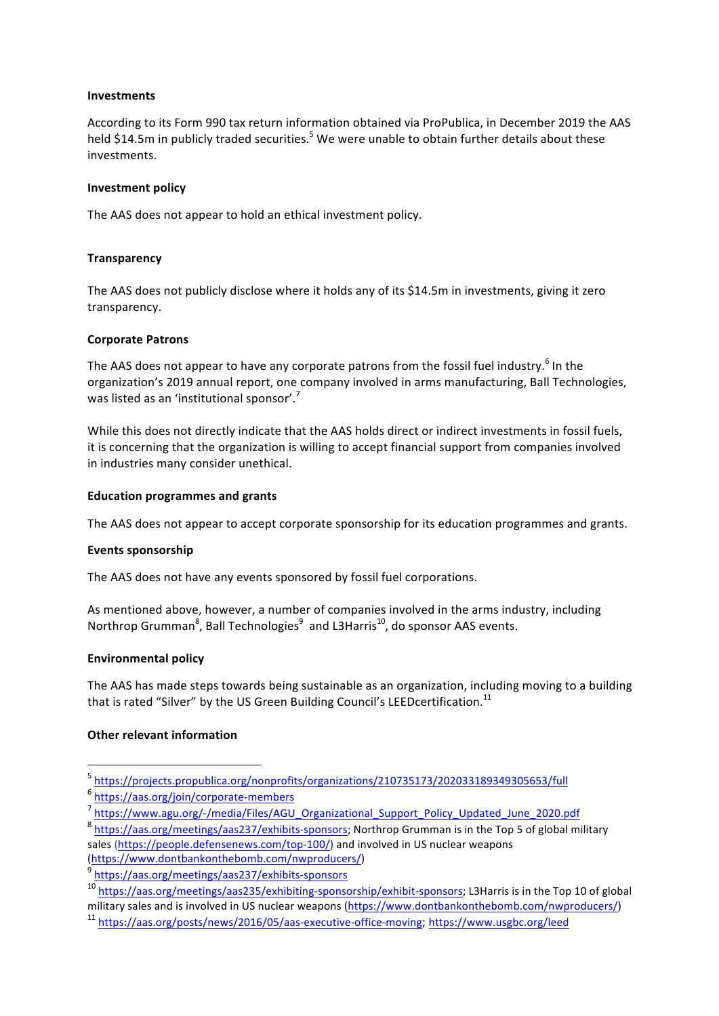#### **Investments**

According to its Form 990 tax return information obtained via ProPublica, in December 2019 the AAS held \$14.5m in publicly traded securities.<sup>5</sup> We were unable to obtain further details about these investments. 

### **Investment policy**

The AAS does not appear to hold an ethical investment policy.

### **Transparency**

The AAS does not publicly disclose where it holds any of its \$14.5m in investments, giving it zero transparency.

#### **Corporate Patrons**

The AAS does not appear to have any corporate patrons from the fossil fuel industry.<sup>6</sup> In the organization's 2019 annual report, one company involved in arms manufacturing, Ball Technologies, was listed as an 'institutional sponsor'.<sup>7</sup>

While this does not directly indicate that the AAS holds direct or indirect investments in fossil fuels, it is concerning that the organization is willing to accept financial support from companies involved in industries many consider unethical.

#### **Education programmes and grants**

The AAS does not appear to accept corporate sponsorship for its education programmes and grants.

#### Events sponsorship

The AAS does not have any events sponsored by fossil fuel corporations.

As mentioned above, however, a number of companies involved in the arms industry, including Northrop Grumman $^8$ , Ball Technologies $^9$  and L3Harris $^{\text{10}}$ , do sponsor AAS events.

# **Environmental policy**

The AAS has made steps towards being sustainable as an organization, including moving to a building that is rated "Silver" by the US Green Building Council's LEED certification.<sup>11</sup>

# **Other relevant information**

<sup>5</sup> https://projects.propublica.org/nonprofits/organizations/210735173/202033189349305653/full

<sup>6</sup> https://aas.org/join/corporate-members

<sup>7</sup> https://www.agu.org/-/media/Files/AGU\_Organizational\_Support\_Policy\_Updated\_June\_2020.pdf

<sup>8</sup> https://aas.org/meetings/aas237/exhibits-sponsors; Northrop Grumman is in the Top 5 of global military sales (https://people.defensenews.com/top-100/) and involved in US nuclear weapons

<sup>(</sup>https://www.dontbankonthebomb.com/nwproducers/)

<sup>9</sup> https://aas.org/meetings/aas237/exhibits-sponsors

<sup>&</sup>lt;sup>10</sup> https://aas.org/meetings/aas235/exhibiting-sponsorship/exhibit-sponsors; L3Harris is in the Top 10 of global

military sales and is involved in US nuclear weapons (https://www.dontbankonthebomb.com/nwproducers/)

<sup>&</sup>lt;sup>11</sup> https://aas.org/posts/news/2016/05/aas-executive-office-moving; https://www.usgbc.org/leed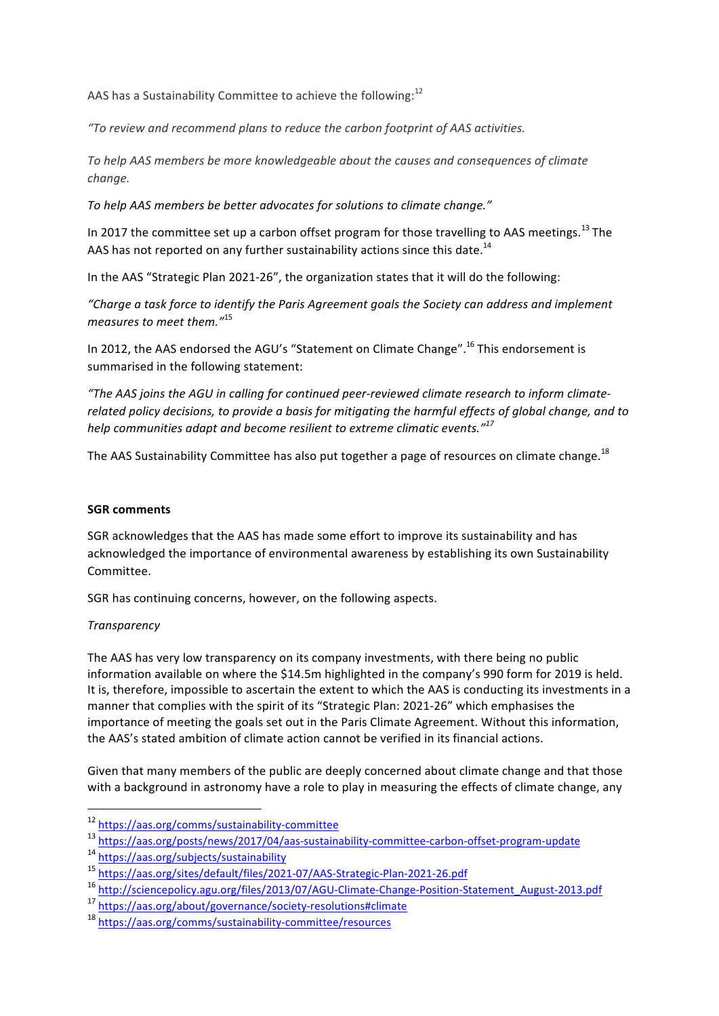AAS has a Sustainability Committee to achieve the following: $^{12}$ 

*"To review and recommend plans to reduce the carbon footprint of AAS activities.*

To help AAS members be more knowledgeable about the causes and consequences of climate *change.*

To help AAS members be better advocates for solutions to climate change."

In 2017 the committee set up a carbon offset program for those travelling to AAS meetings.<sup>13</sup> The AAS has not reported on any further sustainability actions since this date.<sup>14</sup>

In the AAS "Strategic Plan 2021-26", the organization states that it will do the following:

*"Charge a task force to identify the Paris Agreement goals the Society can address and implement measures to meet them.*"<sup>15</sup>

In 2012, the AAS endorsed the AGU's "Statement on Climate Change".<sup>16</sup> This endorsement is summarised in the following statement:

"The AAS joins the AGU in calling for continued peer-reviewed climate research to inform climaterelated policy decisions, to provide a basis for mitigating the harmful effects of global change, and to *help* communities adapt and become resilient to extreme climatic events."<sup>17</sup>

The AAS Sustainability Committee has also put together a page of resources on climate change.<sup>18</sup>

# **SGR** comments

SGR acknowledges that the AAS has made some effort to improve its sustainability and has acknowledged the importance of environmental awareness by establishing its own Sustainability Committee. 

SGR has continuing concerns, however, on the following aspects.

# *Transparency*

The AAS has very low transparency on its company investments, with there being no public information available on where the \$14.5m highlighted in the company's 990 form for 2019 is held. It is, therefore, impossible to ascertain the extent to which the AAS is conducting its investments in a manner that complies with the spirit of its "Strategic Plan: 2021-26" which emphasises the importance of meeting the goals set out in the Paris Climate Agreement. Without this information, the AAS's stated ambition of climate action cannot be verified in its financial actions.

Given that many members of the public are deeply concerned about climate change and that those with a background in astronomy have a role to play in measuring the effects of climate change, any

<sup>12</sup> https://aas.org/comms/sustainability-committee

<sup>13</sup> https://aas.org/posts/news/2017/04/aas-sustainability-committee-carbon-offset-program-update

<sup>14</sup> https://aas.org/subjects/sustainability

<sup>15</sup> https://aas.org/sites/default/files/2021-07/AAS-Strategic-Plan-2021-26.pdf

<sup>16</sup> http://sciencepolicy.agu.org/files/2013/07/AGU-Climate-Change-Position-Statement\_August-2013.pdf

<sup>17</sup> https://aas.org/about/governance/society-resolutions#climate

<sup>18</sup> https://aas.org/comms/sustainability-committee/resources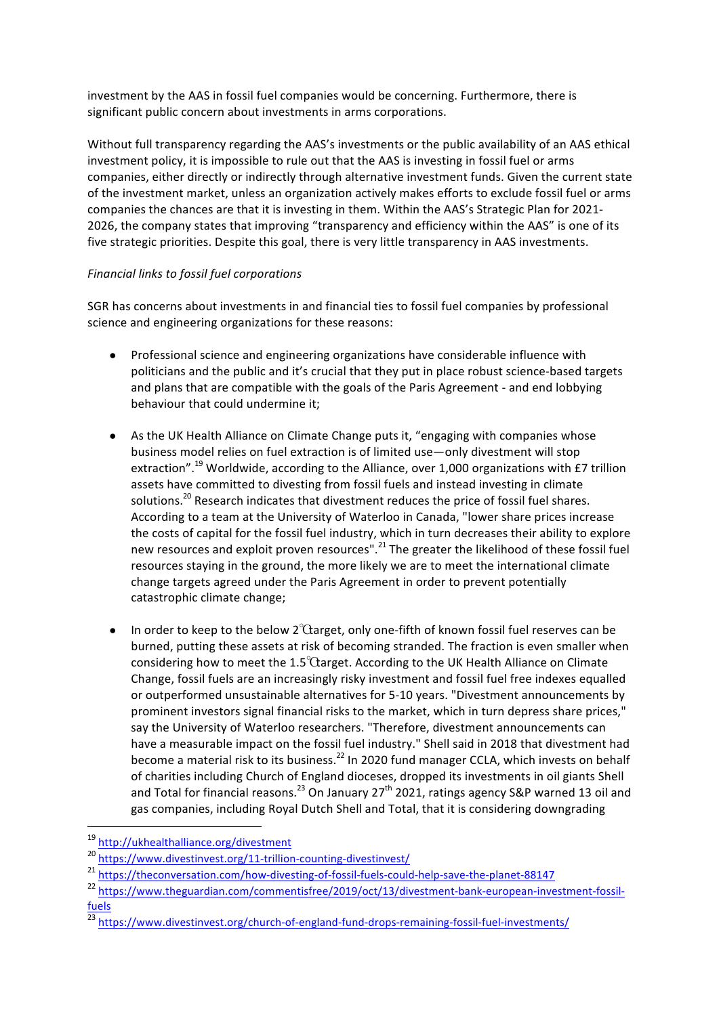investment by the AAS in fossil fuel companies would be concerning. Furthermore, there is significant public concern about investments in arms corporations.

Without full transparency regarding the AAS's investments or the public availability of an AAS ethical investment policy, it is impossible to rule out that the AAS is investing in fossil fuel or arms companies, either directly or indirectly through alternative investment funds. Given the current state of the investment market, unless an organization actively makes efforts to exclude fossil fuel or arms companies the chances are that it is investing in them. Within the AAS's Strategic Plan for 2021-2026, the company states that improving "transparency and efficiency within the AAS" is one of its five strategic priorities. Despite this goal, there is very little transparency in AAS investments.

# *Financial links to fossil fuel corporations*

SGR has concerns about investments in and financial ties to fossil fuel companies by professional science and engineering organizations for these reasons:

- Professional science and engineering organizations have considerable influence with politicians and the public and it's crucial that they put in place robust science-based targets and plans that are compatible with the goals of the Paris Agreement - and end lobbying behaviour that could undermine it;
- As the UK Health Alliance on Climate Change puts it, "engaging with companies whose business model relies on fuel extraction is of limited use—only divestment will stop extraction".<sup>19</sup> Worldwide, according to the Alliance, over 1,000 organizations with £7 trillion assets have committed to divesting from fossil fuels and instead investing in climate solutions.<sup>20</sup> Research indicates that divestment reduces the price of fossil fuel shares. According to a team at the University of Waterloo in Canada, "lower share prices increase the costs of capital for the fossil fuel industry, which in turn decreases their ability to explore new resources and exploit proven resources".<sup>21</sup> The greater the likelihood of these fossil fuel resources staying in the ground, the more likely we are to meet the international climate change targets agreed under the Paris Agreement in order to prevent potentially catastrophic climate change;
- In order to keep to the below  $2^{\circ}$ Carget, only one-fifth of known fossil fuel reserves can be burned, putting these assets at risk of becoming stranded. The fraction is even smaller when considering how to meet the  $1.5^{\circ}$ Carget. According to the UK Health Alliance on Climate Change, fossil fuels are an increasingly risky investment and fossil fuel free indexes equalled or outperformed unsustainable alternatives for 5-10 years. "Divestment announcements by prominent investors signal financial risks to the market, which in turn depress share prices," say the University of Waterloo researchers. "Therefore, divestment announcements can have a measurable impact on the fossil fuel industry." Shell said in 2018 that divestment had become a material risk to its business.<sup>22</sup> In 2020 fund manager CCLA, which invests on behalf of charities including Church of England dioceses, dropped its investments in oil giants Shell and Total for financial reasons.<sup>23</sup> On January 27<sup>th</sup> 2021, ratings agency S&P warned 13 oil and gas companies, including Royal Dutch Shell and Total, that it is considering downgrading

<sup>19</sup> http://ukhealthalliance.org/divestment

<sup>20</sup> https://www.divestinvest.org/11-trillion-counting-divestinvest/

<sup>21</sup> https://theconversation.com/how-divesting-of-fossil-fuels-could-help-save-the-planet-88147

<sup>&</sup>lt;sup>22</sup> https://www.theguardian.com/commentisfree/2019/oct/13/divestment-bank-european-investment-fossilfuels

 $\frac{23}{12}$  https://www.divestinvest.org/church-of-england-fund-drops-remaining-fossil-fuel-investments/